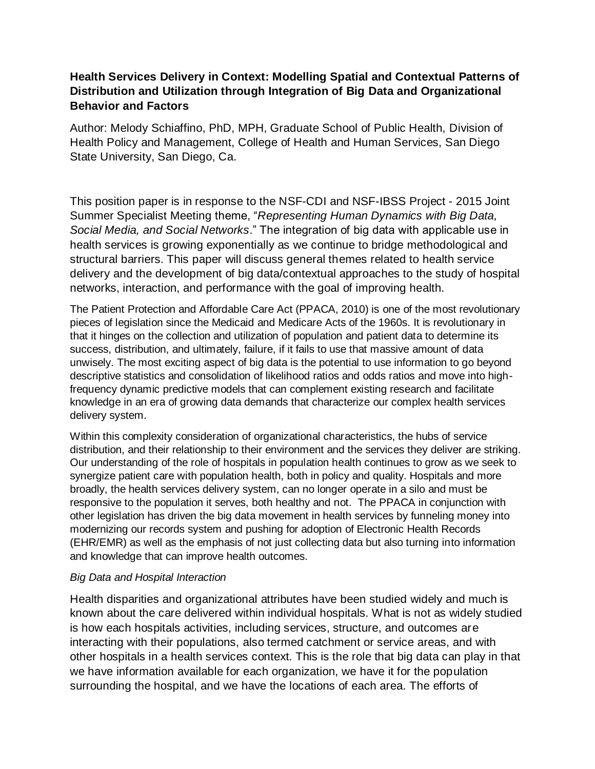## **Health Services Delivery in Context: Modelling Spatial and Contextual Patterns of Distribution and Utilization through Integration of Big Data and Organizational Behavior and Factors**

Author: Melody Schiaffino, PhD, MPH, Graduate School of Public Health, Division of Health Policy and Management, College of Health and Human Services, San Diego State University, San Diego, Ca.

This position paper is in response to the NSF-CDI and NSF-IBSS Project - 2015 Joint Summer Specialist Meeting theme, "*Representing Human Dynamics with Big Data, Social Media, and Social Networks*." The integration of big data with applicable use in health services is growing exponentially as we continue to bridge methodological and structural barriers. This paper will discuss general themes related to health service delivery and the development of big data/contextual approaches to the study of hospital networks, interaction, and performance with the goal of improving health.

The Patient Protection and Affordable Care Act (PPACA, 2010) is one of the most revolutionary pieces of legislation since the Medicaid and Medicare Acts of the 1960s. It is revolutionary in that it hinges on the collection and utilization of population and patient data to determine its success, distribution, and ultimately, failure, if it fails to use that massive amount of data unwisely. The most exciting aspect of big data is the potential to use information to go beyond descriptive statistics and consolidation of likelihood ratios and odds ratios and move into highfrequency dynamic predictive models that can complement existing research and facilitate knowledge in an era of growing data demands that characterize our complex health services delivery system.

Within this complexity consideration of organizational characteristics, the hubs of service distribution, and their relationship to their environment and the services they deliver are striking. Our understanding of the role of hospitals in population health continues to grow as we seek to synergize patient care with population health, both in policy and quality. Hospitals and more broadly, the health services delivery system, can no longer operate in a silo and must be responsive to the population it serves, both healthy and not. The PPACA in conjunction with other legislation has driven the big data movement in health services by funneling money into modernizing our records system and pushing for adoption of Electronic Health Records (EHR/EMR) as well as the emphasis of not just collecting data but also turning into information and knowledge that can improve health outcomes.

## *Big Data and Hospital Interaction*

Health disparities and organizational attributes have been studied widely and much is known about the care delivered within individual hospitals. What is not as widely studied is how each hospitals activities, including services, structure, and outcomes are interacting with their populations, also termed catchment or service areas, and with other hospitals in a health services context. This is the role that big data can play in that we have information available for each organization, we have it for the population surrounding the hospital, and we have the locations of each area. The efforts of